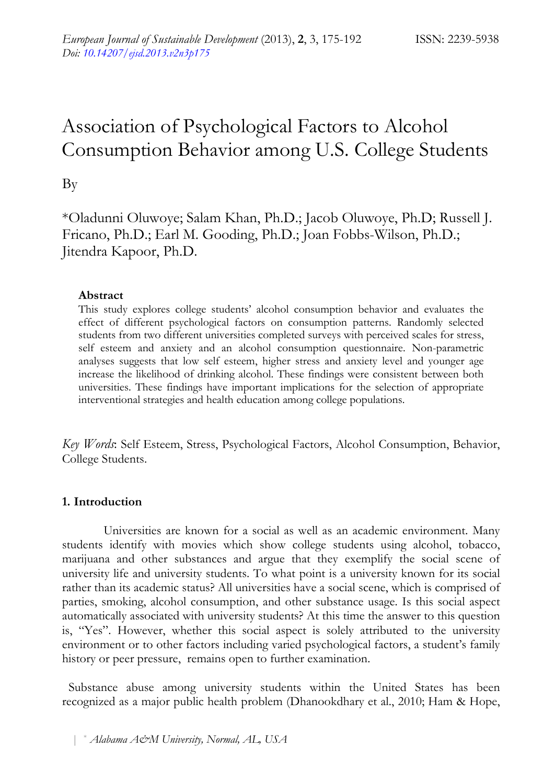# Association of Psychological Factors to Alcohol Consumption Behavior among U.S. College Students

By

\*Oladunni Oluwoye; Salam Khan, Ph.D.; Jacob Oluwoye, Ph.D; Russell J. Fricano, Ph.D.; Earl M. Gooding, Ph.D.; Joan Fobbs-Wilson, Ph.D.; Jitendra Kapoor, Ph.D.

# **Abstract**

This study explores college students' alcohol consumption behavior and evaluates the effect of different psychological factors on consumption patterns. Randomly selected students from two different universities completed surveys with perceived scales for stress, self esteem and anxiety and an alcohol consumption questionnaire. Non-parametric analyses suggests that low self esteem, higher stress and anxiety level and younger age increase the likelihood of drinking alcohol. These findings were consistent between both universities. These findings have important implications for the selection of appropriate interventional strategies and health education among college populations.

*Key Words*: Self Esteem, Stress, Psychological Factors, Alcohol Consumption, Behavior, College Students.

# **1. Introduction**

Universities are known for a social as well as an academic environment. Many students identify with movies which show college students using alcohol, tobacco, marijuana and other substances and argue that they exemplify the social scene of university life and university students. To what point is a university known for its social rather than its academic status? All universities have a social scene, which is comprised of parties, smoking, alcohol consumption, and other substance usage. Is this social aspect automatically associated with university students? At this time the answer to this question is, "Yes". However, whether this social aspect is solely attributed to the university environment or to other factors including varied psychological factors, a student's family history or peer pressure, remains open to further examination.

Substance abuse among university students within the United States has been recognized as a major public health problem (Dhanookdhary et al., 2010; Ham & Hope,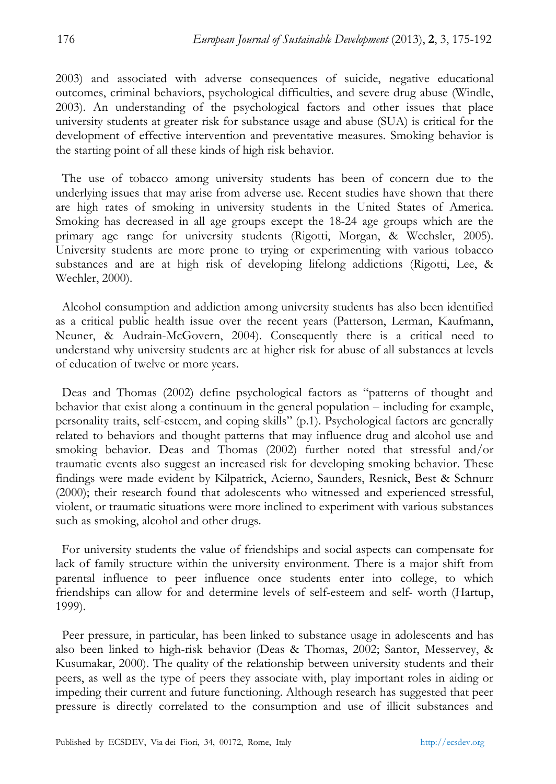2003) and associated with adverse consequences of suicide, negative educational outcomes, criminal behaviors, psychological difficulties, and severe drug abuse (Windle, 2003). An understanding of the psychological factors and other issues that place university students at greater risk for substance usage and abuse (SUA) is critical for the development of effective intervention and preventative measures. Smoking behavior is the starting point of all these kinds of high risk behavior.

The use of tobacco among university students has been of concern due to the underlying issues that may arise from adverse use. Recent studies have shown that there are high rates of smoking in university students in the United States of America. Smoking has decreased in all age groups except the 18-24 age groups which are the primary age range for university students (Rigotti, Morgan, & Wechsler, 2005). University students are more prone to trying or experimenting with various tobacco substances and are at high risk of developing lifelong addictions (Rigotti, Lee, & Wechler, 2000).

Alcohol consumption and addiction among university students has also been identified as a critical public health issue over the recent years (Patterson, Lerman, Kaufmann, Neuner, & Audrain-McGovern, 2004). Consequently there is a critical need to understand why university students are at higher risk for abuse of all substances at levels of education of twelve or more years.

Deas and Thomas (2002) define psychological factors as "patterns of thought and behavior that exist along a continuum in the general population – including for example, personality traits, self-esteem, and coping skills" (p.1). Psychological factors are generally related to behaviors and thought patterns that may influence drug and alcohol use and smoking behavior. Deas and Thomas (2002) further noted that stressful and/or traumatic events also suggest an increased risk for developing smoking behavior. These findings were made evident by Kilpatrick, Acierno, Saunders, Resnick, Best & Schnurr (2000); their research found that adolescents who witnessed and experienced stressful, violent, or traumatic situations were more inclined to experiment with various substances such as smoking, alcohol and other drugs.

For university students the value of friendships and social aspects can compensate for lack of family structure within the university environment. There is a major shift from parental influence to peer influence once students enter into college, to which friendships can allow for and determine levels of self-esteem and self- worth (Hartup, 1999).

Peer pressure, in particular, has been linked to substance usage in adolescents and has also been linked to high-risk behavior (Deas & Thomas, 2002; Santor, Messervey, & Kusumakar, 2000). The quality of the relationship between university students and their peers, as well as the type of peers they associate with, play important roles in aiding or impeding their current and future functioning. Although research has suggested that peer pressure is directly correlated to the consumption and use of illicit substances and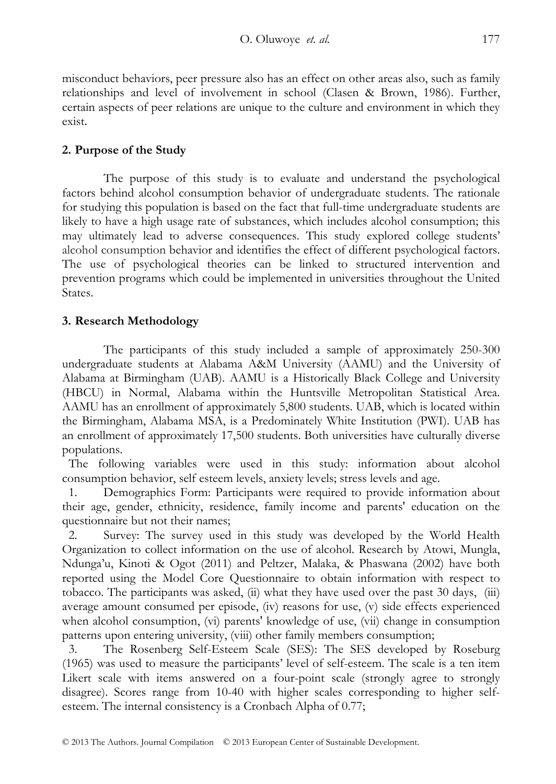misconduct behaviors, peer pressure also has an effect on other areas also, such as family relationships and level of involvement in school (Clasen & Brown, 1986). Further, certain aspects of peer relations are unique to the culture and environment in which they exist.

# **2. Purpose of the Study**

The purpose of this study is to evaluate and understand the psychological factors behind alcohol consumption behavior of undergraduate students. The rationale for studying this population is based on the fact that full-time undergraduate students are likely to have a high usage rate of substances, which includes alcohol consumption; this may ultimately lead to adverse consequences. This study explored college students' alcohol consumption behavior and identifies the effect of different psychological factors. The use of psychological theories can be linked to structured intervention and prevention programs which could be implemented in universities throughout the United States.

# **3. Research Methodology**

The participants of this study included a sample of approximately 250-300 undergraduate students at Alabama A&M University (AAMU) and the University of Alabama at Birmingham (UAB). AAMU is a Historically Black College and University (HBCU) in Normal, Alabama within the Huntsville Metropolitan Statistical Area. AAMU has an enrollment of approximately 5,800 students. UAB, which is located within the Birmingham, Alabama MSA, is a Predominately White Institution (PWI). UAB has an enrollment of approximately 17,500 students. Both universities have culturally diverse populations.

The following variables were used in this study: information about alcohol consumption behavior, self esteem levels, anxiety levels; stress levels and age.

1. Demographics Form: Participants were required to provide information about their age, gender, ethnicity, residence, family income and parents' education on the questionnaire but not their names;

2. Survey: The survey used in this study was developed by the World Health Organization to collect information on the use of alcohol. Research by Atowi, Mungla, Ndunga'u, Kinoti & Ogot (2011) and Peltzer, Malaka, & Phaswana (2002) have both reported using the Model Core Questionnaire to obtain information with respect to tobacco. The participants was asked, (ii) what they have used over the past 30 days, (iii) average amount consumed per episode, (iv) reasons for use, (v) side effects experienced when alcohol consumption, (vi) parents' knowledge of use, (vii) change in consumption patterns upon entering university, (viii) other family members consumption;

3. The Rosenberg Self-Esteem Scale (SES): The SES developed by Roseburg (1965) was used to measure the participants' level of self-esteem. The scale is a ten item Likert scale with items answered on a four-point scale (strongly agree to strongly disagree). Scores range from 10-40 with higher scales corresponding to higher selfesteem. The internal consistency is a Cronbach Alpha of 0.77;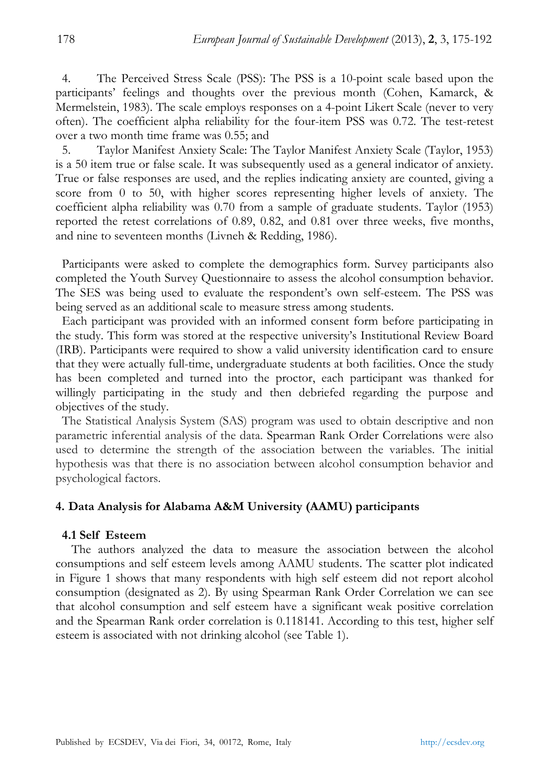4. The Perceived Stress Scale (PSS): The PSS is a 10-point scale based upon the participants' feelings and thoughts over the previous month (Cohen, Kamarck, & Mermelstein, 1983). The scale employs responses on a 4-point Likert Scale (never to very often). The coefficient alpha reliability for the four-item PSS was 0.72. The test-retest over a two month time frame was 0.55; and

5. Taylor Manifest Anxiety Scale: The Taylor Manifest Anxiety Scale (Taylor, 1953) is a 50 item true or false scale. It was subsequently used as a general indicator of anxiety. True or false responses are used, and the replies indicating anxiety are counted, giving a score from 0 to 50, with higher scores representing higher levels of anxiety. The coefficient alpha reliability was 0.70 from a sample of graduate students. Taylor (1953) reported the retest correlations of 0.89, 0.82, and 0.81 over three weeks, five months, and nine to seventeen months (Livneh & Redding, 1986).

Participants were asked to complete the demographics form. Survey participants also completed the Youth Survey Questionnaire to assess the alcohol consumption behavior. The SES was being used to evaluate the respondent's own self-esteem. The PSS was being served as an additional scale to measure stress among students.

Each participant was provided with an informed consent form before participating in the study. This form was stored at the respective university's Institutional Review Board (IRB). Participants were required to show a valid university identification card to ensure that they were actually full-time, undergraduate students at both facilities. Once the study has been completed and turned into the proctor, each participant was thanked for willingly participating in the study and then debriefed regarding the purpose and objectives of the study.

The Statistical Analysis System (SAS) program was used to obtain descriptive and non parametric inferential analysis of the data. Spearman Rank Order Correlations were also used to determine the strength of the association between the variables. The initial hypothesis was that there is no association between alcohol consumption behavior and psychological factors.

## **4. Data Analysis for Alabama A&M University (AAMU) participants**

#### **4.1 Self Esteem**

 The authors analyzed the data to measure the association between the alcohol consumptions and self esteem levels among AAMU students. The scatter plot indicated in Figure 1 shows that many respondents with high self esteem did not report alcohol consumption (designated as 2). By using Spearman Rank Order Correlation we can see that alcohol consumption and self esteem have a significant weak positive correlation and the Spearman Rank order correlation is 0.118141. According to this test, higher self esteem is associated with not drinking alcohol (see Table 1).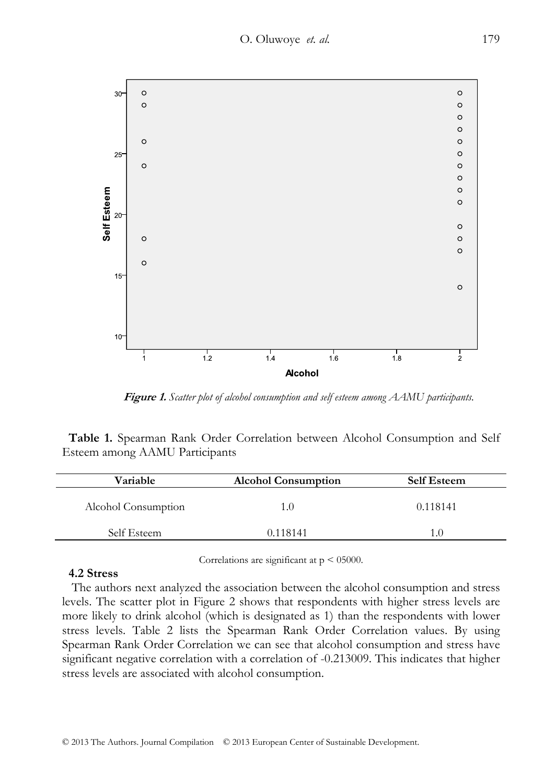

 **Figure 1.** *Scatter plot of alcohol consumption and self esteem among AAMU participants.* 

**Table 1.** Spearman Rank Order Correlation between Alcohol Consumption and Self Esteem among AAMU Participants

| Variable            | <b>Alcohol Consumption</b> | <b>Self Esteem</b> |  |
|---------------------|----------------------------|--------------------|--|
| Alcohol Consumption | 1.0                        | 0.118141           |  |
| Self Esteem         | 0.118141                   | I ()               |  |
|                     |                            |                    |  |

Correlations are significant at  $p < 05000$ .

# **4.2 Stress**

 The authors next analyzed the association between the alcohol consumption and stress levels. The scatter plot in Figure 2 shows that respondents with higher stress levels are more likely to drink alcohol (which is designated as 1) than the respondents with lower stress levels. Table 2 lists the Spearman Rank Order Correlation values. By using Spearman Rank Order Correlation we can see that alcohol consumption and stress have significant negative correlation with a correlation of -0.213009. This indicates that higher stress levels are associated with alcohol consumption.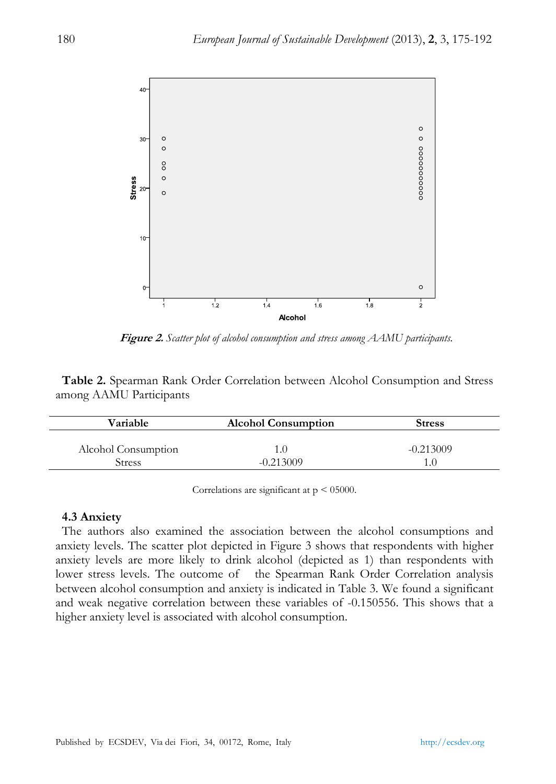

 **Figure 2.** *Scatter plot of alcohol consumption and stress among AAMU participants.* 

**Table 2.** Spearman Rank Order Correlation between Alcohol Consumption and Stress among AAMU Participants

| Variable            | <b>Alcohol Consumption</b> | <b>Stress</b> |
|---------------------|----------------------------|---------------|
| Alcohol Consumption |                            | $-0.213009$   |
| Stress              | $-0.213009$                |               |

Correlations are significant at p < 05000.

#### **4.3 Anxiety**

The authors also examined the association between the alcohol consumptions and anxiety levels. The scatter plot depicted in Figure 3 shows that respondents with higher anxiety levels are more likely to drink alcohol (depicted as 1) than respondents with lower stress levels. The outcome of the Spearman Rank Order Correlation analysis between alcohol consumption and anxiety is indicated in Table 3. We found a significant and weak negative correlation between these variables of -0.150556. This shows that a higher anxiety level is associated with alcohol consumption.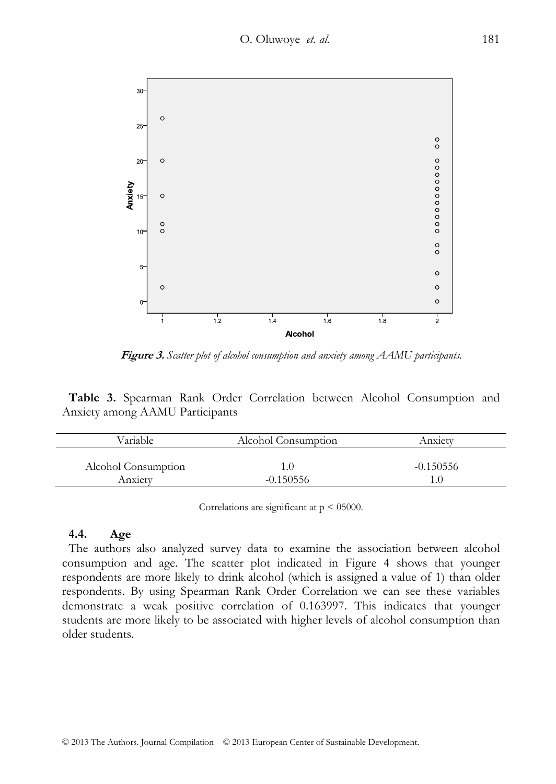

 **Figure 3.** *Scatter plot of alcohol consumption and anxiety among AAMU participants.* 

**Table 3.** Spearman Rank Order Correlation between Alcohol Consumption and Anxiety among AAMU Participants

| Variable                       | Alcohol Consumption | Anxietv     |  |
|--------------------------------|---------------------|-------------|--|
| Alcohol Consumption<br>Anxietv | $-0.150556$         | $-0.150556$ |  |

Correlations are significant at p < 05000.

## **4.4. Age**

The authors also analyzed survey data to examine the association between alcohol consumption and age. The scatter plot indicated in Figure 4 shows that younger respondents are more likely to drink alcohol (which is assigned a value of 1) than older respondents. By using Spearman Rank Order Correlation we can see these variables demonstrate a weak positive correlation of 0.163997. This indicates that younger students are more likely to be associated with higher levels of alcohol consumption than older students.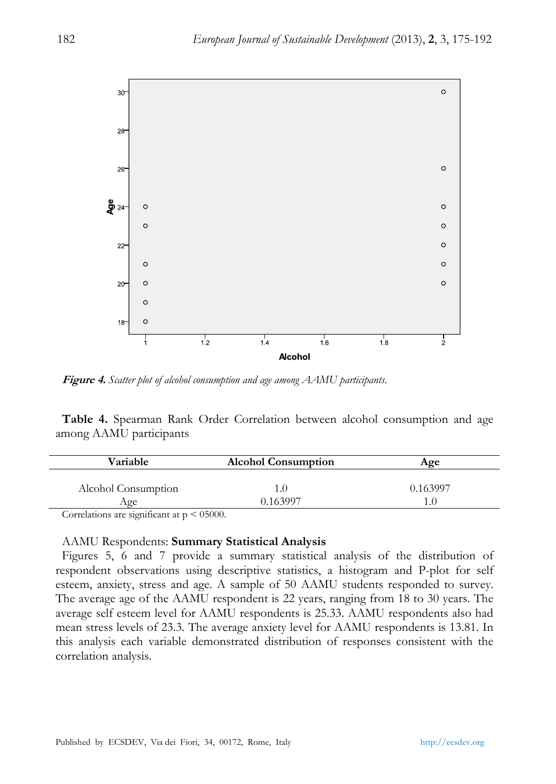

**Figure 4.** *Scatter plot of alcohol consumption and age among AAMU participants.* 

**Table 4.** Spearman Rank Order Correlation between alcohol consumption and age among AAMU participants

|          | Aœe                        |
|----------|----------------------------|
|          | 0.163997                   |
| 0.163997 |                            |
|          | <b>Alcohol Consumption</b> |

Correlations are significant at  $p < 05000$ .

## AAMU Respondents: **Summary Statistical Analysis**

Figures 5, 6 and 7 provide a summary statistical analysis of the distribution of respondent observations using descriptive statistics, a histogram and P-plot for self esteem, anxiety, stress and age. A sample of 50 AAMU students responded to survey. The average age of the AAMU respondent is 22 years, ranging from 18 to 30 years. The average self esteem level for AAMU respondents is 25.33. AAMU respondents also had mean stress levels of 23.3. The average anxiety level for AAMU respondents is 13.81. In this analysis each variable demonstrated distribution of responses consistent with the correlation analysis.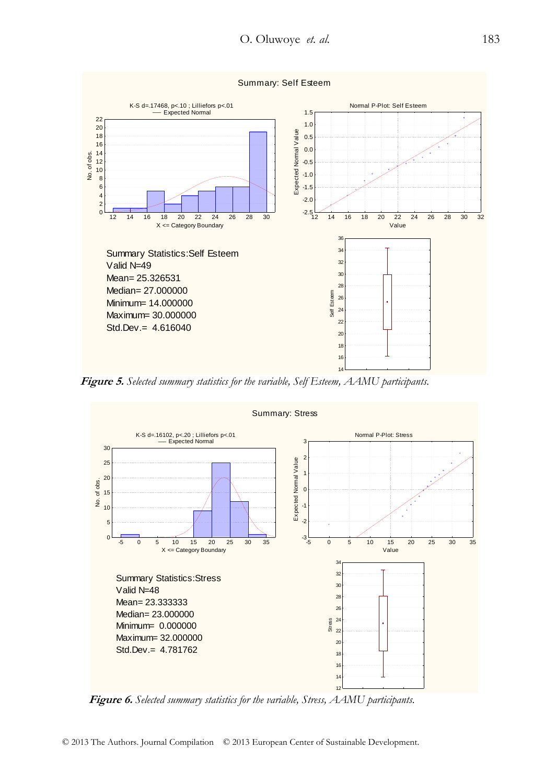

 **Figure 5.** *Selected summary statistics for the variable, Self Esteem, AAMU participants.* 



 **Figure 6.** *Selected summary statistics for the variable, Stress, AAMU participants.*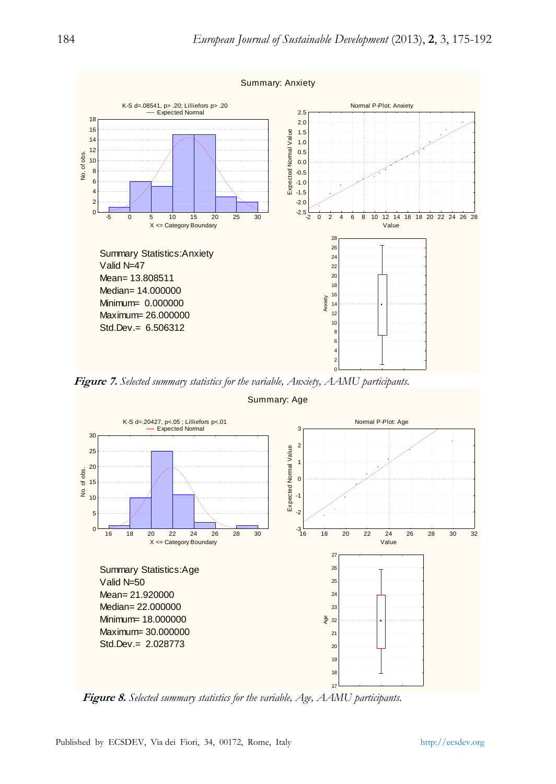

 **Figure 7.** *Selected summary statistics for the variable, Anxiety, AAMU participants.* 



Summary: Age

 **Figure 8.** *Selected summary statistics for the variable, Age, AAMU participants.*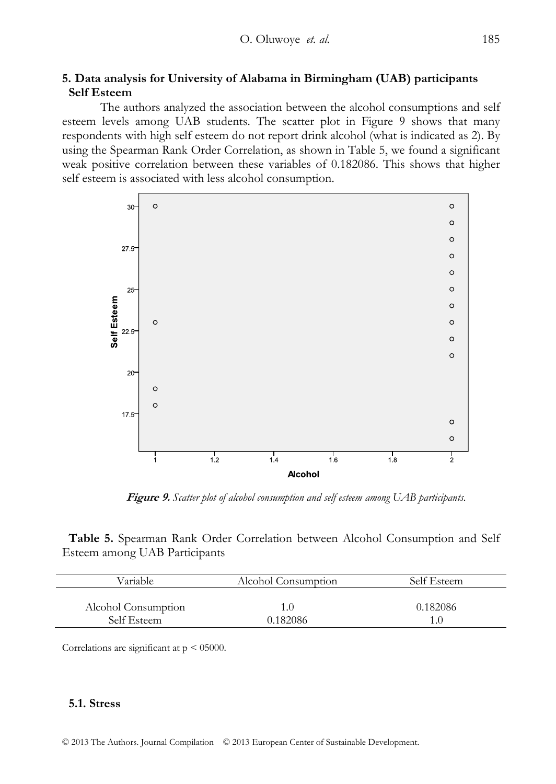# **5. Data analysis for University of Alabama in Birmingham (UAB) participants Self Esteem**

 The authors analyzed the association between the alcohol consumptions and self esteem levels among UAB students. The scatter plot in Figure 9 shows that many respondents with high self esteem do not report drink alcohol (what is indicated as 2). By using the Spearman Rank Order Correlation, as shown in Table 5, we found a significant weak positive correlation between these variables of 0.182086. This shows that higher self esteem is associated with less alcohol consumption.



 **Figure 9.** *Scatter plot of alcohol consumption and self esteem among UAB participants.* 

**Table 5.** Spearman Rank Order Correlation between Alcohol Consumption and Self Esteem among UAB Participants

| Variable            | Alcohol Consumption | Self Esteem |
|---------------------|---------------------|-------------|
| Alcohol Consumption | 1.O                 | 0.182086    |
| Self Esteem         | 0.182086            | 1.0         |

Correlations are significant at  $p < 05000$ .

## **5.1. Stress**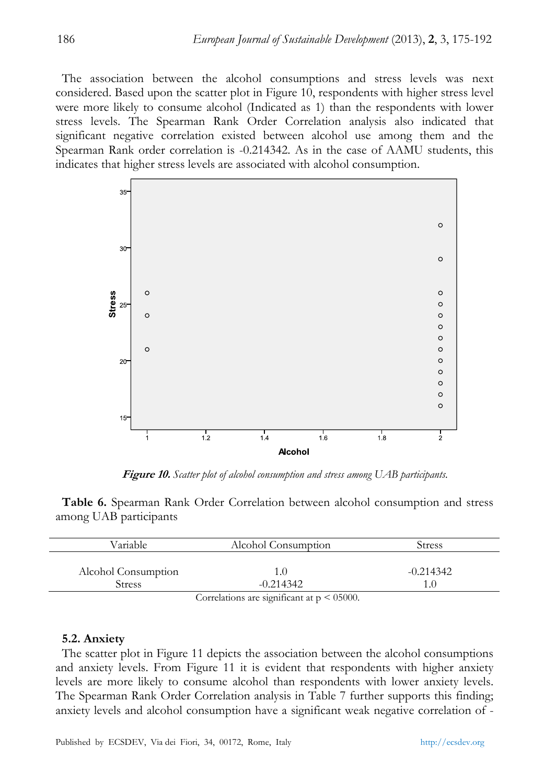The association between the alcohol consumptions and stress levels was next considered. Based upon the scatter plot in Figure 10, respondents with higher stress level were more likely to consume alcohol (Indicated as 1) than the respondents with lower stress levels. The Spearman Rank Order Correlation analysis also indicated that significant negative correlation existed between alcohol use among them and the Spearman Rank order correlation is -0.214342. As in the case of AAMU students, this indicates that higher stress levels are associated with alcohol consumption.



 **Figure 10.** *Scatter plot of alcohol consumption and stress among UAB participants.* 

**Table 6.** Spearman Rank Order Correlation between alcohol consumption and stress among UAB participants

| Variable            | Alcohol Consumption                             | Stress        |
|---------------------|-------------------------------------------------|---------------|
| Alcohol Consumption | 1.0                                             | $-0.214342$   |
| <b>Stress</b>       | $-0.214342$                                     | $1.0^{\circ}$ |
|                     | Correlations are significant at $p \le 05000$ . |               |

#### **5.2. Anxiety**

The scatter plot in Figure 11 depicts the association between the alcohol consumptions and anxiety levels. From Figure 11 it is evident that respondents with higher anxiety levels are more likely to consume alcohol than respondents with lower anxiety levels. The Spearman Rank Order Correlation analysis in Table 7 further supports this finding; anxiety levels and alcohol consumption have a significant weak negative correlation of -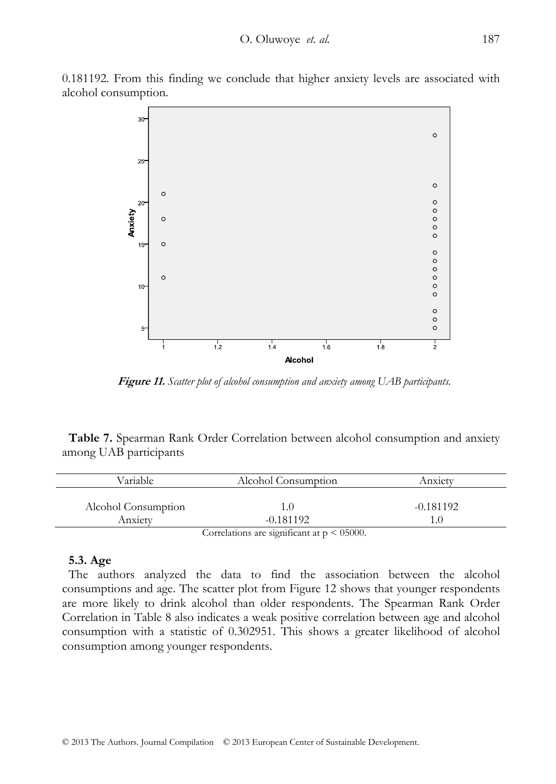0.181192. From this finding we conclude that higher anxiety levels are associated with alcohol consumption.



**Figure 11.** *Scatter plot of alcohol consumption and anxiety among UAB participants.* 

**Table 7.** Spearman Rank Order Correlation between alcohol consumption and anxiety among UAB participants

| Variable            | Alcohol Consumption | Anxietv     |
|---------------------|---------------------|-------------|
| Alcohol Consumption |                     | $-0.181192$ |
| Anxiety             | $-0.181192$         |             |
|                     | $C = 1$             |             |

Correlations are significant at  $p \leq 05000$ .

#### **5.3. Age**

The authors analyzed the data to find the association between the alcohol consumptions and age. The scatter plot from Figure 12 shows that younger respondents are more likely to drink alcohol than older respondents. The Spearman Rank Order Correlation in Table 8 also indicates a weak positive correlation between age and alcohol consumption with a statistic of 0.302951. This shows a greater likelihood of alcohol consumption among younger respondents.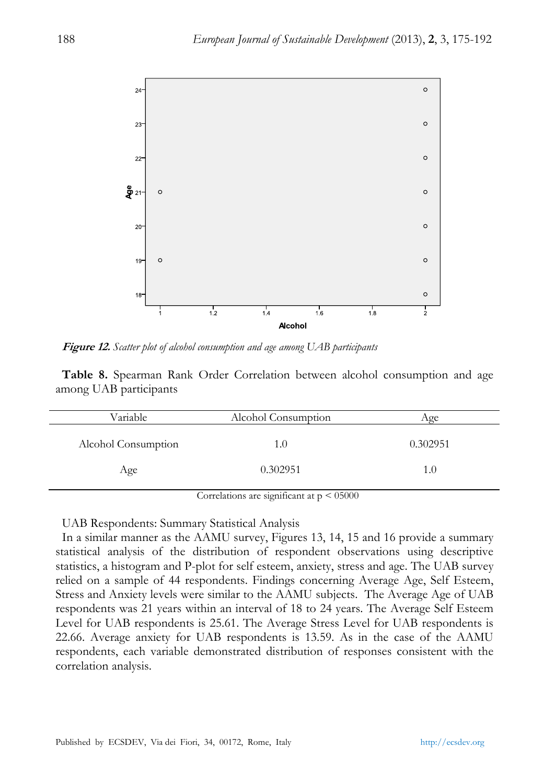

**Figure 12.** *Scatter plot of alcohol consumption and age among UAB participants* 

**Table 8.** Spearman Rank Order Correlation between alcohol consumption and age among UAB participants

| Variable            | Alcohol Consumption | Age      |
|---------------------|---------------------|----------|
| Alcohol Consumption | 1.0                 | 0.302951 |
| Age                 | 0.302951            | 1.0      |

Correlations are significant at  $p \le 05000$ 

UAB Respondents: Summary Statistical Analysis

In a similar manner as the AAMU survey, Figures 13, 14, 15 and 16 provide a summary statistical analysis of the distribution of respondent observations using descriptive statistics, a histogram and P-plot for self esteem, anxiety, stress and age. The UAB survey relied on a sample of 44 respondents. Findings concerning Average Age, Self Esteem, Stress and Anxiety levels were similar to the AAMU subjects. The Average Age of UAB respondents was 21 years within an interval of 18 to 24 years. The Average Self Esteem Level for UAB respondents is 25.61. The Average Stress Level for UAB respondents is 22.66. Average anxiety for UAB respondents is 13.59. As in the case of the AAMU respondents, each variable demonstrated distribution of responses consistent with the correlation analysis.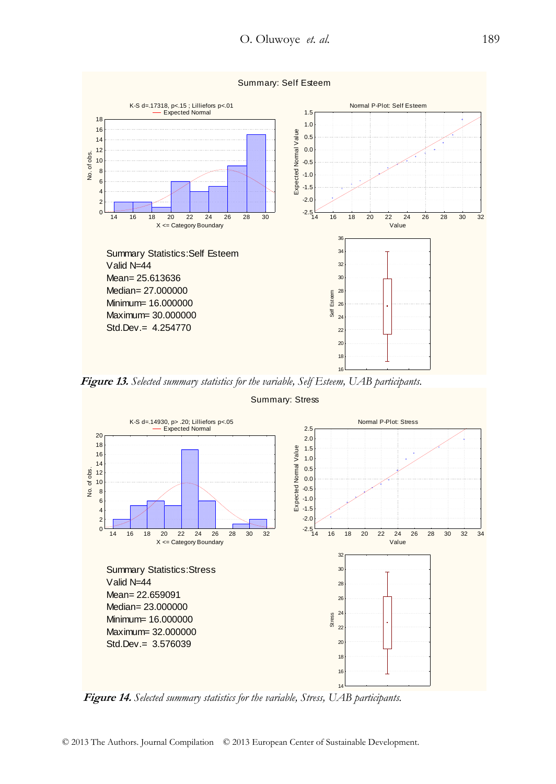

 **Figure 13.** *Selected summary statistics for the variable, Self Esteem, UAB participants.* 



Summary: Stress

 **Figure 14.** *Selected summary statistics for the variable, Stress, UAB participants.*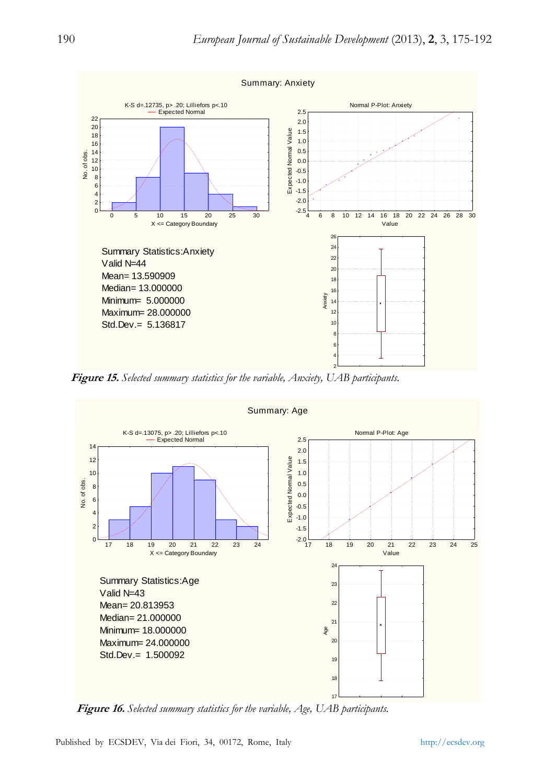

 **Figure 15.** *Selected summary statistics for the variable, Anxiety, UAB participants.* 



 **Figure 16.** *Selected summary statistics for the variable, Age, UAB participants.*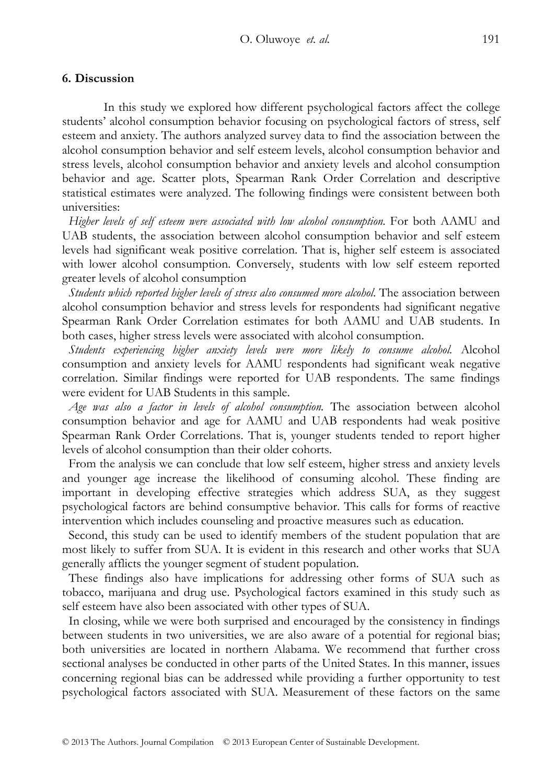# **6. Discussion**

In this study we explored how different psychological factors affect the college students' alcohol consumption behavior focusing on psychological factors of stress, self esteem and anxiety. The authors analyzed survey data to find the association between the alcohol consumption behavior and self esteem levels, alcohol consumption behavior and stress levels, alcohol consumption behavior and anxiety levels and alcohol consumption behavior and age. Scatter plots, Spearman Rank Order Correlation and descriptive statistical estimates were analyzed. The following findings were consistent between both universities:

*Higher levels of self esteem were associated with low alcohol consumption*. For both AAMU and UAB students, the association between alcohol consumption behavior and self esteem levels had significant weak positive correlation. That is, higher self esteem is associated with lower alcohol consumption. Conversely, students with low self esteem reported greater levels of alcohol consumption

*Students which reported higher levels of stress also consumed more alcohol*. The association between alcohol consumption behavior and stress levels for respondents had significant negative Spearman Rank Order Correlation estimates for both AAMU and UAB students. In both cases, higher stress levels were associated with alcohol consumption.

*Students experiencing higher anxiety levels were more likely to consume alcohol.* Alcohol consumption and anxiety levels for AAMU respondents had significant weak negative correlation. Similar findings were reported for UAB respondents. The same findings were evident for UAB Students in this sample.

*Age was also a factor in levels of alcohol consumption.* The association between alcohol consumption behavior and age for AAMU and UAB respondents had weak positive Spearman Rank Order Correlations. That is, younger students tended to report higher levels of alcohol consumption than their older cohorts.

From the analysis we can conclude that low self esteem, higher stress and anxiety levels and younger age increase the likelihood of consuming alcohol. These finding are important in developing effective strategies which address SUA, as they suggest psychological factors are behind consumptive behavior. This calls for forms of reactive intervention which includes counseling and proactive measures such as education.

Second, this study can be used to identify members of the student population that are most likely to suffer from SUA. It is evident in this research and other works that SUA generally afflicts the younger segment of student population.

These findings also have implications for addressing other forms of SUA such as tobacco, marijuana and drug use. Psychological factors examined in this study such as self esteem have also been associated with other types of SUA.

In closing, while we were both surprised and encouraged by the consistency in findings between students in two universities, we are also aware of a potential for regional bias; both universities are located in northern Alabama. We recommend that further cross sectional analyses be conducted in other parts of the United States. In this manner, issues concerning regional bias can be addressed while providing a further opportunity to test psychological factors associated with SUA. Measurement of these factors on the same